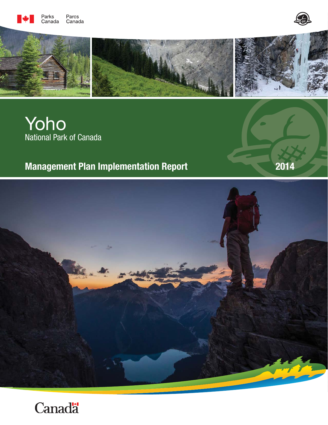





# Yoho National Park of Canada

# **Management Plan Implementation Report 2014**



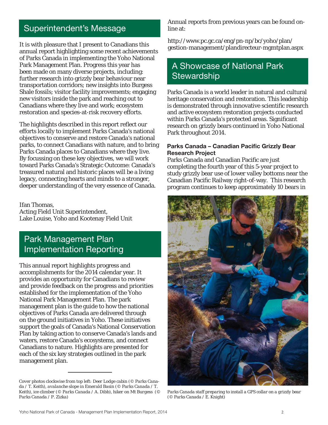## Superintendent's Message

It is with pleasure that I present to Canadians this annual report highlighting some recent achievements of Parks Canada in implementing the Yoho National Park Management Plan. Progress this year has been made on many diverse projects, including: further research into grizzly bear behaviour near transportation corridors; new insights into Burgess Shale fossils; visitor facility improvements; engaging new visitors inside the park and reaching out to Canadians where they live and work; ecosystem restoration and species-at-risk recovery efforts.

The highlights described in this report reflect our efforts locally to implement Parks Canada's national objectives to conserve and restore Canada's national parks, to connect Canadians with nature, and to bring Parks Canada places to Canadians where they live. By focussing on these key objectives, we will work toward Parks Canada's Strategic Outcome: Canada's treasured natural and historic places will be a living legacy, connecting hearts and minds to a stronger, deeper understanding of the very essence of Canada.

Ifan Thomas, Acting Field Unit Superintendent, Lake Louise, Yoho and Kootenay Field Unit

### Park Management Plan Implementation Reporting

This annual report highlights progress and accomplishments for the 2014 calendar year. It provides an opportunity for Canadians to review and provide feedback on the progress and priorities established for the implementation of the Yoho National Park Management Plan. The park management plan is the guide to how the national objectives of Parks Canada are delivered through on the ground initiatives in Yoho. These initiatives support the goals of Canada's National Conservation Plan by taking action to conserve Canada's lands and waters, restore Canada's ecosystems, and connect Canadians to nature. Highlights are presented for each of the six key strategies outlined in the park management plan.

Annual reports from previous years can be found online at:

http://www.pc.gc.ca/eng/pn-np/bc/yoho/plan/ gestion-management/plandirecteur-mgmtplan.aspx

### A Showcase of National Park **Stewardship**

Parks Canada is a world leader in natural and cultural heritage conservation and restoration. This leadership is demonstrated through innovative scientific research and active ecosystem restoration projects conducted within Parks Canada's protected areas. Significant research on grizzly bears continued in Yoho National Park throughout 2014.

#### Parks Canada - Canadian Pacific Grizzly Bear **Research Project**

Parks Canada and Canadian Pacific are just completing the fourth year of this 5-year project to study grizzly bear use of lower valley bottoms near the Canadian Pacific Railway right-of-way. This research program continues to keep approximately 10 bears in



*Parks Canada staff preparing to install a GPS collar on a grizzly bear (© Parks Canada / E. Knight)*

*Cover photos clockwise from top left: Deer Lodge cabin (© Parks Canada / T. Keith), avalanche slope in Emerald Basin (© Parks Canada / T. Keith), ice climber (© Parks Canada / A. Dibb), hiker on Mt Burgess (© Parks Canada / P. Zizka)*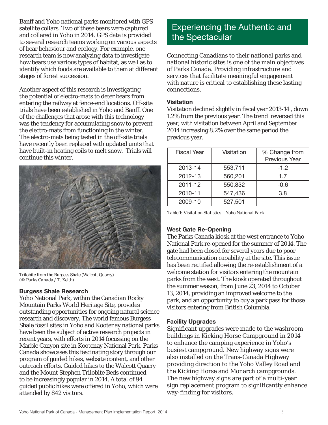Banff and Yoho national parks monitored with GPS satellite collars. Two of these bears were captured and collared in Yoho in 2014. GPS data is provided to several research teams working on various aspects of bear behaviour and ecology. For example, one research team is now analyzing data to investigate how bears use various types of habitat, as well as to identify which foods are available to them at different stages of forest succession.

Another aspect of this research is investigating the potential of electro-mats to deter bears from entering the railway at fence-end locations. Off-site trials have been established in Yoho and Banff. One of the challenges that arose with this technology was the tendency for accumulating snow to prevent the electro-mats from functioning in the winter. The electro-mats being tested in the off-site trials have recently been replaced with updated units that have built-in heating coils to melt snow. Trials will continue this winter.



Trilobite from the Burgess Shale (Walcott Quarry) *(© Parks Canada / T. Keith)*

#### **Burgess Shale Research**

Yoho National Park, within the Canadian Rocky Mountain Parks World Heritage Site, provides outstanding opportunities for ongoing natural science research and discovery. The world famous Burgess Shale fossil sites in Yoho and Kootenay national parks have been the subject of active research projects in recent years, with efforts in 2014 focussing on the Marble Canyon site in Kootenay National Park. Parks Canada showcases this fascinating story through our program of guided hikes, website content, and other outreach efforts. Guided hikes to the Walcott Quarry and the Mount Stephen Trilobite Beds continued to be increasingly popular in 2014. A total of 94 guided public hikes were offered in Yoho, which were attended by 842 visitors.

### Experiencing the Authentic and the Spectacular

Connecting Canadians to their national parks and national historic sites is one of the main objectives of Parks Canada. Providing infrastructure and services that facilitate meaningful engagement with nature is critical to establishing these lasting connections.

#### **Visitation**

Visitation declined slightly in fiscal year 2013-14, down 1.2% from the previous year. The trend reversed this year, with visitation between April and September 2014 increasing 8.2% over the same period the previous year.

| <b>Fiscal Year</b> | Visitation | % Change from<br>Previous Year |
|--------------------|------------|--------------------------------|
| 2013-14            | 553,711    | $-1.2$                         |
| 2012-13            | 560,201    | 1.7                            |
| 2011-12            | 550,832    | $-0.6$                         |
| 2010-11            | 547,436    | 3.8                            |
| 2009-10            | 527,501    |                                |

*Table 1: Visitation Statistics – Yoho National Park*

#### **West Gate Re-Opening**

The Parks Canada kiosk at the west entrance to Yoho National Park re-opened for the summer of 2014. The gate had been closed for several years due to poor telecommunication capability at the site. This issue has been rectified allowing the re-establishment of a welcome station for visitors entering the mountain parks from the west. The kiosk operated throughout the summer season, from June 23, 2014 to October 13, 2014, providing an improved welcome to the park, and an opportunity to buy a park pass for those visitors entering from British Columbia.

#### **Facility Upgrades**

Significant upgrades were made to the washroom buildings in Kicking Horse Campground in 2014 to enhance the camping experience in Yoho's busiest campground. New highway signs were also installed on the Trans-Canada Highway providing direction to the Yoho Valley Road and the Kicking Horse and Monarch campgrounds. The new highway signs are part of a multi-year sign replacement program to significantly enhance way-finding for visitors.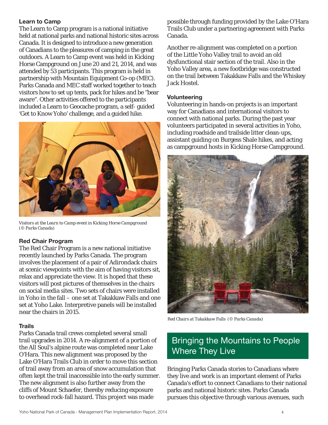#### **Learn to Camp**

The Learn to Camp program is a national initiative held at national parks and national historic sites across Canada. It is designed to introduce a new generation of Canadians to the pleasures of camping in the great outdoors. A Learn to Camp event was held in Kicking Horse Campground on June 20 and 21, 2014, and was attended by 53 participants. This program is held in partnership with Mountain Equipment Co-op (MEC). Parks Canada and MEC staff worked together to teach visitors how to set up tents, pack for hikes and be "bear aware". Other activities offered to the participants included a Learn to Geocache program, a self- guided 'Get to Know Yoho' challenge, and a guided hike.



*Visitors at the Learn to Camp event in Kicking Horse Campground (© Parks Canada)*

#### **Red Chair Program**

The Red Chair Program is a new national initiative recently launched by Parks Canada. The program involves the placement of a pair of Adirondack chairs at scenic viewpoints with the aim of having visitors sit, relax and appreciate the view. It is hoped that these visitors will post pictures of themselves in the chairs on social media sites. Two sets of chairs were installed in Yoho in the fall – one set at Takakkaw Falls and one set at Yoho Lake. Interpretive panels will be installed near the chairs in 2015.

#### **Trails**

Parks Canada trail crews completed several small trail upgrades in 2014. A re-alignment of a portion of the All Soul's alpine route was completed near Lake O'Hara. This new alignment was proposed by the Lake O'Hara Trails Club in order to move this section of trail away from an area of snow accumulation that often kept the trail inaccessible into the early summer. The new alignment is also further away from the cliffs of Mount Schaefer, thereby reducing exposure to overhead rock-fall hazard. This project was made

possible through funding provided by the Lake O'Hara Trails Club under a partnering agreement with Parks Canada.

Another re-alignment was completed on a portion of the Little Yoho Valley trail to avoid an old dysfunctional stair section of the trail. Also in the Yoho Valley area, a new footbridge was constructed on the trail between Takakkaw Falls and the Whiskey Jack Hostel.

#### **Volunteering**

Volunteering in hands-on projects is an important way for Canadians and international visitors to connect with national parks. During the past year volunteers participated in several activities in Yoho, including roadside and trailside litter clean-ups, assistant guiding on Burgess Shale hikes, and acting as campground hosts in Kicking Horse Campground.



*Red Chairs at Takakkaw Falls (© Parks Canada)*

### Bringing the Mountains to People Where They Live

Bringing Parks Canada stories to Canadians where they live and work is an important element of Parks Canada's effort to connect Canadians to their national parks and national historic sites. Parks Canada pursues this objective through various avenues, such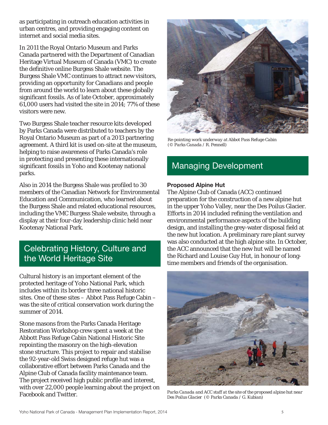as participating in outreach education activities in urban centres, and providing engaging content on internet and social media sites.

In 2011 the Royal Ontario Museum and Parks Canada partnered with the Department of Canadian Heritage Virtual Museum of Canada (VMC) to create the definitive online Burgess Shale website. The Burgess Shale VMC continues to attract new visitors, providing an opportunity for Canadians and people from around the world to learn about these globally significant fossils. As of late October, approximately 61,000 users had visited the site in 2014; 77% of these visitors were new.

Two Burgess Shale teacher resource kits developed by Parks Canada were distributed to teachers by the Royal Ontario Museum as part of a 2013 partnering agreement. A third kit is used on-site at the museum, helping to raise awareness of Parks Canada's role in protecting and presenting these internationally significant fossils in Yoho and Kootenay national parks.

Also in 2014 the Burgess Shale was profiled to 30 members of the Canadian Network for Environmental Education and Communication, who learned about the Burgess Shale and related educational resources, including the VMC Burgess Shale website, through a display at their four-day leadership clinic held near Kootenay National Park.

### Celebrating History, Culture and the World Heritage Site

Cultural history is an important element of the protected heritage of Yoho National Park, which includes within its border three national historic sites. One of these sites – Abbot Pass Refuge Cabin – was the site of critical conservation work during the summer of 2014.

Stone masons from the Parks Canada Heritage Restoration Workshop crew spent a week at the Abbott Pass Refuge Cabin National Historic Site repointing the masonry on the high-elevation stone structure. This project to repair and stabilise the 92-year-old Swiss designed refuge hut was a collaborative effort between Parks Canada and the Alpine Club of Canada facility maintenance team. The project received high public profile and interest, with over 22,000 people learning about the project on Facebook and Twitter.



*Re-pointing work underway at Abbot Pass Refuge Cabin (© Parks Canada / R. Pennell)*

# Managing Development

#### **Proposed Alpine Hut**

The Alpine Club of Canada (ACC) continued preparation for the construction of a new alpine hut in the upper Yoho Valley, near the Des Poilus Glacier. Efforts in 2014 included refining the ventilation and environmental performance aspects of the building design, and installing the grey-water disposal field at the new hut location. A preliminary rare plant survey was also conducted at the high alpine site. In October, the ACC announced that the new hut will be named the Richard and Louise Guy Hut, in honour of longtime members and friends of the organisation.



*Parks Canada and ACC staff at the site of the proposed alpine hut near Des Poilus Glacier (© Parks Canada / G. Kubian)*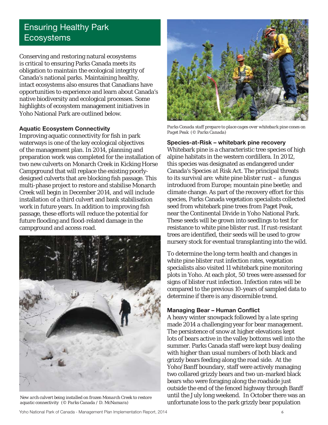### Ensuring Healthy Park **Ecosystems**

Conserving and restoring natural ecosystems is critical to ensuring Parks Canada meets its obligation to maintain the ecological integrity of Canada's national parks. Maintaining healthy, intact ecosystems also ensures that Canadians have opportunities to experience and learn about Canada's native biodiversity and ecological processes. Some highlights of ecosystem management initiatives in Yoho National Park are outlined below.

#### **Aquatic Ecosystem Connectivity**

Improving aquatic connectivity for fish in park waterways is one of the key ecological objectives of the management plan. In 2014, planning and preparation work was completed for the installation of two new culverts on Monarch Creek in Kicking Horse Campground that will replace the existing poorlydesigned culverts that are blocking fish passage. This multi-phase project to restore and stabilise Monarch Creek will begin in December 2014, and will include installation of a third culvert and bank stabilisation work in future years. In addition to improving fish passage, these efforts will reduce the potential for future flooding and flood-related damage in the campground and access road.



*New arch culvert being installed on frozen Monarch Creek to restore aquatic connectivity (© Parks Canada / D. McNamara)*



*Parks Conada staff prepare to place cages over whitebark pine cones on Paget Peak (© Parks Canada)*

**Species-at-Risk – whitebark pine recovery** Whitebark pine is a characteristic tree species of high alpine habitats in the western cordillera. In 2012, this species was designated as endangered under Canada's *Species at Risk Act*. The principal threats to its survival are: white pine blister rust – a fungus introduced from Europe; mountain pine beetle; and climate change. As part of the recovery effort for this species, Parks Canada vegetation specialists collected seed from whitebark pine trees from Paget Peak, near the Continental Divide in Yoho National Park. These seeds will be grown into seedlings to test for resistance to white pine blister rust. If rust-resistant trees are identified, their seeds will be used to grow nursery stock for eventual transplanting into the wild.

To determine the long-term health and changes in white pine blister rust infection rates, vegetation specialists also visited 11 whitebark pine monitoring plots in Yoho. At each plot, 50 trees were assessed for signs of blister rust infection. Infection rates will be compared to the previous 10-years of sampled data to determine if there is any discernible trend.

#### **Managing Bear - Human Conflict**

A heavy winter snowpack followed by a late spring made 2014 a challenging year for bear management. The persistence of snow at higher elevations kept lots of bears active in the valley bottoms well into the summer. Parks Canada staff were kept busy dealing with higher than usual numbers of both black and grizzly bears feeding along the road side. At the Yoho/Banff boundary, staff were actively managing two collared grizzly bears and two un-marked black bears who were foraging along the roadside just outside the end of the fenced highway through Banff until the July long weekend. In October there was an unfortunate loss to the park grizzly bear population